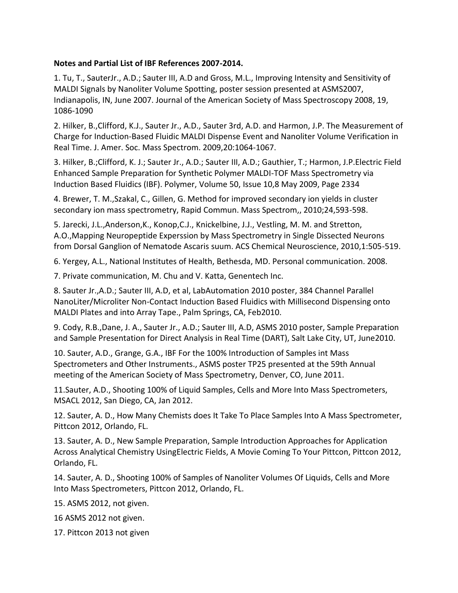## **Notes and Partial List of IBF References 2007-2014.**

1. Tu, T., SauterJr., A.D.; Sauter III, A.D and Gross, M.L., Improving Intensity and Sensitivity of MALDI Signals by Nanoliter Volume Spotting, poster session presented at ASMS2007, Indianapolis, IN, June 2007. Journal of the American Society of Mass Spectroscopy 2008, 19, 1086-1090

2. Hilker, B.,Clifford, K.J., Sauter Jr., A.D., Sauter 3rd, A.D. and Harmon, J.P. The Measurement of Charge for Induction-Based Fluidic MALDI Dispense Event and Nanoliter Volume Verification in Real Time. J. Amer. Soc. Mass Spectrom. 2009,20:1064-1067.

3. Hilker, B.;Clifford, K. J.; Sauter Jr., A.D.; Sauter III, A.D.; Gauthier, T.; Harmon, J.P.Electric Field Enhanced Sample Preparation for Synthetic Polymer MALDI-TOF Mass Spectrometry via Induction Based Fluidics (IBF). Polymer, Volume 50, Issue 10,8 May 2009, Page 2334

4. Brewer, T. M.,Szakal, C., Gillen, G. Method for improved secondary ion yields in cluster secondary ion mass spectrometry, Rapid Commun. Mass Spectrom,, 2010;24,593-598.

5. Jarecki, J.L.,Anderson,K., Konop,C.J., Knickelbine, J.J., Vestling, M. M. and Stretton, A.O.,Mapping Neuropeptide Experssion by Mass Spectrometry in Single Dissected Neurons from Dorsal Ganglion of Nematode Ascaris suum. ACS Chemical Neuroscience, 2010,1:505-519.

6. Yergey, A.L., National Institutes of Health, Bethesda, MD. Personal communication. 2008.

7. Private communication, M. Chu and V. Katta, Genentech Inc.

8. Sauter Jr.,A.D.; Sauter III, A.D, et al, LabAutomation 2010 poster, 384 Channel Parallel NanoLiter/Microliter Non-Contact Induction Based Fluidics with Millisecond Dispensing onto MALDI Plates and into Array Tape., Palm Springs, CA, Feb2010.

9. Cody, R.B.,Dane, J. A., Sauter Jr., A.D.; Sauter III, A.D, ASMS 2010 poster, Sample Preparation and Sample Presentation for Direct Analysis in Real Time (DART), Salt Lake City, UT, June2010.

10. Sauter, A.D., Grange, G.A., IBF For the 100% Introduction of Samples int Mass Spectrometers and Other Instruments., ASMS poster TP25 presented at the 59th Annual meeting of the American Society of Mass Spectrometry, Denver, CO, June 2011.

11.Sauter, A.D., Shooting 100% of Liquid Samples, Cells and More Into Mass Spectrometers, MSACL 2012, San Diego, CA, Jan 2012.

12. Sauter, A. D., How Many Chemists does It Take To Place Samples Into A Mass Spectrometer, Pittcon 2012, Orlando, FL.

13. Sauter, A. D., New Sample Preparation, Sample Introduction Approaches for Application Across Analytical Chemistry UsingElectric Fields, A Movie Coming To Your Pittcon, Pittcon 2012, Orlando, FL.

14. Sauter, A. D., Shooting 100% of Samples of Nanoliter Volumes Of Liquids, Cells and More Into Mass Spectrometers, Pittcon 2012, Orlando, FL.

15. ASMS 2012, not given.

16 ASMS 2012 not given.

17. Pittcon 2013 not given